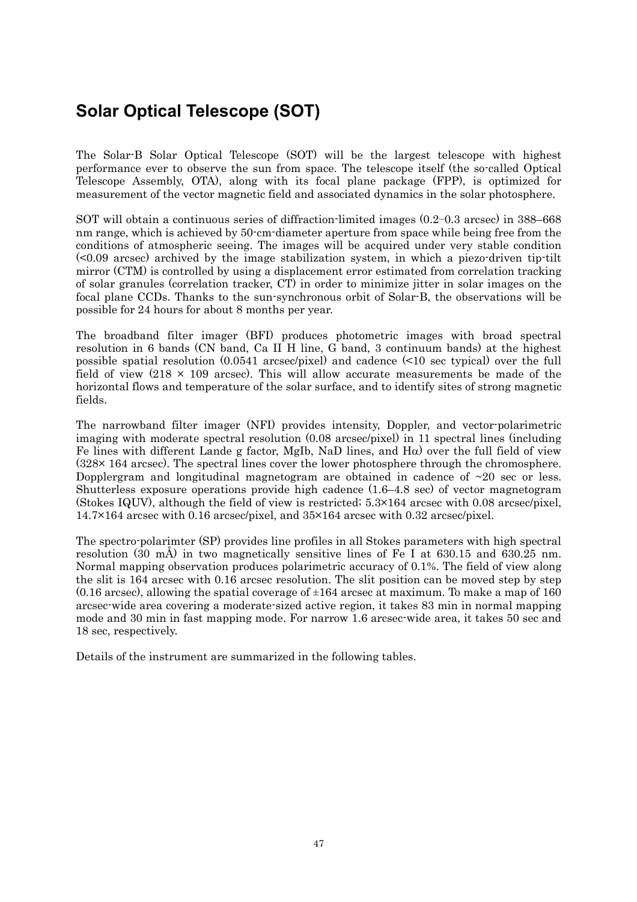## **Solar Optical Telescope (SOT)**

The Solar-B Solar Optical Telescope (SOT) will be the largest telescope with highest performance ever to observe the sun from space. The telescope itself (the so-called Optical Telescope Assembly, OTA), along with its focal plane package (FPP), is optimized for measurement of the vector magnetic field and associated dynamics in the solar photosphere.

SOT will obtain a continuous series of diffraction-limited images (0.2−0.3 arcsec) in 388–668 nm range, which is achieved by 50-cm-diameter aperture from space while being free from the conditions of atmospheric seeing. The images will be acquired under very stable condition  $\leq 0.09$  arcsec) archived by the image stabilization system, in which a piezo-driven tip-tilt mirror (CTM) is controlled by using a displacement error estimated from correlation tracking of solar granules (correlation tracker, CT) in order to minimize jitter in solar images on the focal plane CCDs. Thanks to the sun-synchronous orbit of Solar-B, the observations will be possible for 24 hours for about 8 months per year.

The broadband filter imager (BFI) produces photometric images with broad spectral resolution in 6 bands (CN band, Ca II H line, G band, 3 continuum bands) at the highest possible spatial resolution (0.0541 arcsec/pixel) and cadence (<10 sec typical) over the full field of view  $(218 \times 109 \text{ arcsec})$ . This will allow accurate measurements be made of the horizontal flows and temperature of the solar surface, and to identify sites of strong magnetic fields.

The narrowband filter imager (NFI) provides intensity, Doppler, and vector-polarimetric imaging with moderate spectral resolution (0.08 arcsec/pixel) in 11 spectral lines (including Fe lines with different Lande g factor, MgIb, NaD lines, and Hα) over the full field of view (328× 164 arcsec). The spectral lines cover the lower photosphere through the chromosphere. Dopplergram and longitudinal magnetogram are obtained in cadence of  $\sim$ 20 sec or less. Shutterless exposure operations provide high cadence (1.6–4.8 sec) of vector magnetogram (Stokes IQUV), although the field of view is restricted;  $5.3 \times 164$  arcsec with 0.08 arcsec/pixel. 14.7×164 arcsec with 0.16 arcsec/pixel, and 35×164 arcsec with 0.32 arcsec/pixel.

The spectro-polarimter (SP) provides line profiles in all Stokes parameters with high spectral resolution (30 mÅ) in two magnetically sensitive lines of Fe I at 630.15 and 630.25 nm. Normal mapping observation produces polarimetric accuracy of 0.1%. The field of view along the slit is 164 arcsec with 0.16 arcsec resolution. The slit position can be moved step by step  $(0.16 \text{ arcsec})$ , allowing the spatial coverage of  $\pm 164$  arcsec at maximum. To make a map of 160 arcsec-wide area covering a moderate-sized active region, it takes 83 min in normal mapping mode and 30 min in fast mapping mode. For narrow 1.6 arcsec-wide area, it takes 50 sec and 18 sec, respectively.

Details of the instrument are summarized in the following tables.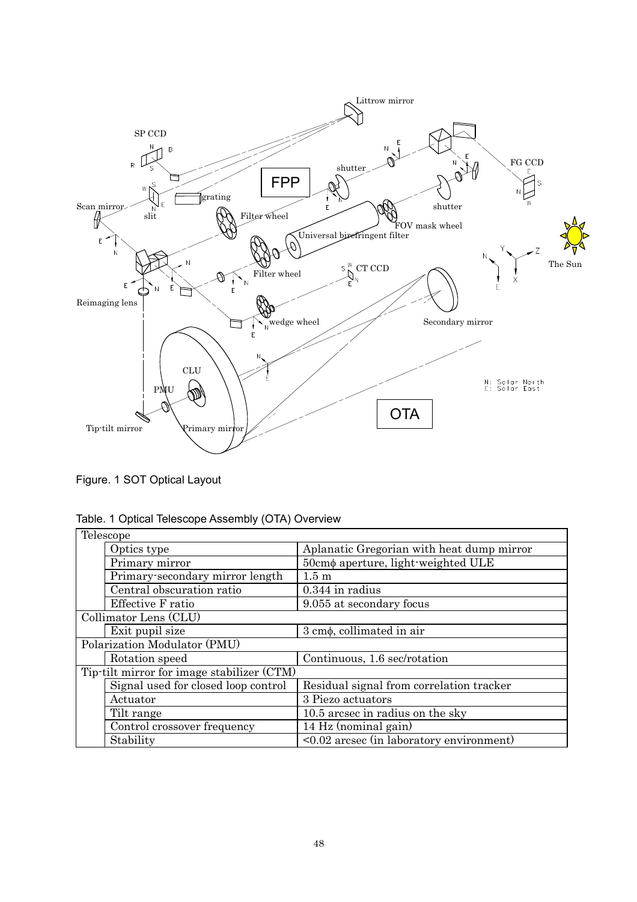

Figure. 1 SOT Optical Layout

|  |  | Table. 1 Optical Telescope Assembly (OTA) Overview |
|--|--|----------------------------------------------------|
|--|--|----------------------------------------------------|

| Telescope                                  |                                           |  |  |
|--------------------------------------------|-------------------------------------------|--|--|
| Optics type                                | Aplanatic Gregorian with heat dump mirror |  |  |
| Primary mirror                             | 50cmφ aperture, light-weighted ULE        |  |  |
| Primary-secondary mirror length            | $1.5 \text{ m}$                           |  |  |
| Central obscuration ratio                  | $0.344$ in radius                         |  |  |
| Effective F ratio                          | 9.055 at secondary focus                  |  |  |
| Collimator Lens (CLU)                      |                                           |  |  |
| Exit pupil size                            | $3 \text{ cm}\phi$ , collimated in air    |  |  |
| Polarization Modulator (PMU)               |                                           |  |  |
| Rotation speed                             | Continuous, 1.6 sec/rotation              |  |  |
| Tip-tilt mirror for image stabilizer (CTM) |                                           |  |  |
| Signal used for closed loop control        | Residual signal from correlation tracker  |  |  |
| Actuator                                   | 3 Piezo actuators                         |  |  |
| Tilt range                                 | 10.5 arcsec in radius on the sky          |  |  |
| Control crossover frequency                | 14 Hz (nominal gain)                      |  |  |
| Stability                                  | <0.02 arcsec (in laboratory environment)  |  |  |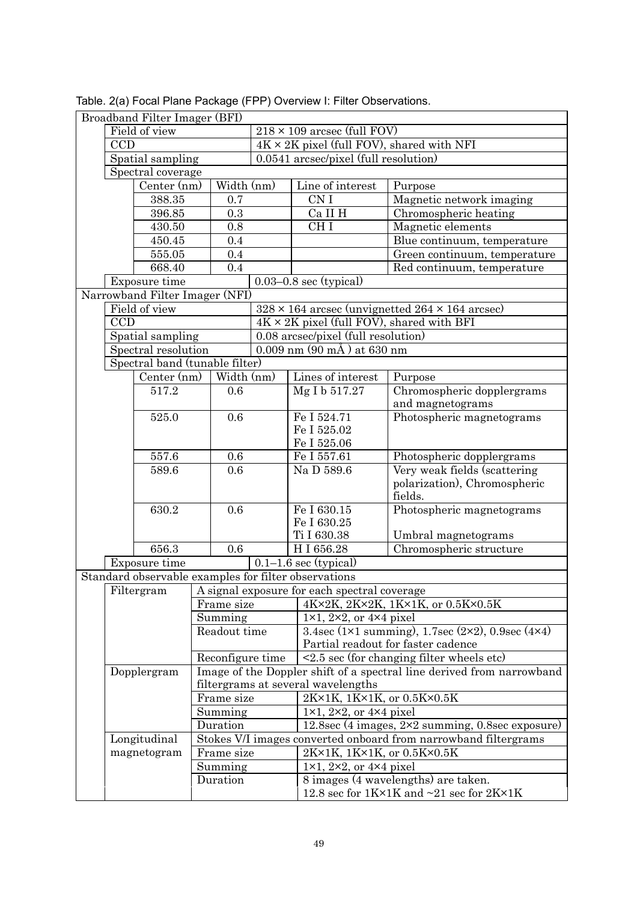|  | Broadband Filter Imager (BFI)      |                                |            |                                                 |                                                  |                                                                       |                                                               |  |
|--|------------------------------------|--------------------------------|------------|-------------------------------------------------|--------------------------------------------------|-----------------------------------------------------------------------|---------------------------------------------------------------|--|
|  | Field of view                      |                                |            |                                                 |                                                  | $218 \times 109$ arcsec (full FOV)                                    |                                                               |  |
|  | <b>CCD</b>                         |                                |            |                                                 | $4K \times 2K$ pixel (full FOV), shared with NFI |                                                                       |                                                               |  |
|  | Spatial sampling                   |                                |            |                                                 | 0.0541 arcsec/pixel (full resolution)            |                                                                       |                                                               |  |
|  | Spectral coverage                  |                                |            |                                                 |                                                  |                                                                       |                                                               |  |
|  |                                    | Center (nm)                    |            | Width (nm)                                      |                                                  | Line of interest                                                      | Purpose                                                       |  |
|  |                                    | 388.35                         |            | 0.7                                             |                                                  | CN I                                                                  | Magnetic network imaging                                      |  |
|  |                                    | 396.85                         |            | 0.3                                             |                                                  | Ca II H                                                               | Chromospheric heating                                         |  |
|  |                                    | 430.50                         |            | 0.8                                             |                                                  | CH <sub>I</sub>                                                       | Magnetic elements                                             |  |
|  |                                    | 450.45                         |            | 0.4                                             |                                                  |                                                                       | Blue continuum, temperature                                   |  |
|  |                                    | 555.05                         |            | 0.4                                             |                                                  |                                                                       | Green continuum, temperature                                  |  |
|  |                                    | 668.40                         |            | 0.4                                             |                                                  |                                                                       | Red continuum, temperature                                    |  |
|  |                                    | Exposure time                  |            |                                                 |                                                  | $0.03-0.8$ sec (typical)                                              |                                                               |  |
|  |                                    | Narrowband Filter Imager (NFI) |            |                                                 |                                                  |                                                                       |                                                               |  |
|  |                                    | Field of view                  |            |                                                 |                                                  |                                                                       | $328 \times 164$ arcsec (unvignetted $264 \times 164$ arcsec) |  |
|  | <b>CCD</b>                         |                                |            |                                                 |                                                  | $4K \times 2K$ pixel (full FOV), shared with BFI                      |                                                               |  |
|  |                                    | Spatial sampling               |            |                                                 |                                                  | 0.08 arcsec/pixel (full resolution)                                   |                                                               |  |
|  |                                    | Spectral resolution            |            |                                                 |                                                  | $0.009$ nm $(90 \text{ mA})$ at 630 nm                                |                                                               |  |
|  |                                    | Spectral band (tunable filter) |            |                                                 |                                                  |                                                                       |                                                               |  |
|  |                                    | Center (nm)                    |            | Width (nm)                                      |                                                  | Lines of interest                                                     | Purpose                                                       |  |
|  |                                    | $517.2\,$                      |            | 0.6                                             |                                                  | Mg I b 517.27                                                         | Chromospheric dopplergrams                                    |  |
|  |                                    |                                |            |                                                 |                                                  |                                                                       | and magnetograms                                              |  |
|  |                                    | 525.0                          |            | 0.6                                             |                                                  | Fe I 524.71                                                           | Photospheric magnetograms                                     |  |
|  |                                    |                                |            |                                                 |                                                  | Fe I 525.02                                                           |                                                               |  |
|  |                                    |                                |            |                                                 |                                                  | Fe I 525.06                                                           |                                                               |  |
|  | 557.6                              |                                |            | 0.6                                             |                                                  | Fe I 557.61                                                           | Photospheric dopplergrams                                     |  |
|  |                                    | 589.6                          |            | 0.6                                             |                                                  | Na D 589.6                                                            | Very weak fields (scattering                                  |  |
|  |                                    |                                |            |                                                 |                                                  |                                                                       | polarization), Chromospheric                                  |  |
|  |                                    |                                |            |                                                 |                                                  |                                                                       | fields.                                                       |  |
|  |                                    | 630.2                          |            | 0.6                                             |                                                  | Fe I 630.15                                                           | Photospheric magnetograms                                     |  |
|  |                                    |                                |            |                                                 |                                                  | Fe I 630.25                                                           |                                                               |  |
|  |                                    |                                |            |                                                 |                                                  | Ti I 630.38                                                           | Umbral magnetograms                                           |  |
|  |                                    | 656.3                          |            | 0.6                                             | HI 656.28                                        |                                                                       | Chromospheric structure                                       |  |
|  |                                    | Exposure time                  |            |                                                 |                                                  | $0.1-1.6$ sec (typical)                                               |                                                               |  |
|  |                                    |                                |            |                                                 |                                                  | Standard observable examples for filter observations                  |                                                               |  |
|  |                                    |                                |            |                                                 |                                                  | Filtergram   A signal exposure for each spectral coverage             |                                                               |  |
|  |                                    |                                |            | Frame size                                      |                                                  |                                                                       | 4K×2K, 2K×2K, 1K×1K, or 0.5K×0.5K                             |  |
|  |                                    |                                |            | Summing                                         |                                                  |                                                                       | $1\times1$ , $2\times2$ , or $4\times4$ pixel                 |  |
|  |                                    |                                |            | Readout time                                    |                                                  | 3.4sec (1×1 summing), 1.7sec (2×2), 0.9sec (4×4)                      |                                                               |  |
|  |                                    |                                |            |                                                 |                                                  | Partial readout for faster cadence                                    |                                                               |  |
|  | Reconfigure time                   |                                |            | $\leq$ 2.5 sec (for changing filter wheels etc) |                                                  |                                                                       |                                                               |  |
|  | Dopplergram                        |                                |            |                                                 |                                                  | Image of the Doppler shift of a spectral line derived from narrowband |                                                               |  |
|  | filtergrams at several wavelengths |                                |            |                                                 |                                                  |                                                                       |                                                               |  |
|  |                                    |                                | Frame size |                                                 | 2K×1K, 1K×1K, or 0.5K×0.5K                       |                                                                       |                                                               |  |
|  |                                    |                                | Summing    |                                                 | $1\times1$ , $2\times2$ , or $4\times4$ pixel    |                                                                       |                                                               |  |
|  | Duration                           |                                |            |                                                 |                                                  | 12.8sec (4 images, 2×2 summing, 0.8sec exposure)                      |                                                               |  |
|  |                                    | Longitudinal                   |            |                                                 |                                                  | Stokes V/I images converted onboard from narrowband filtergrams       |                                                               |  |
|  |                                    | magnetogram                    |            | Frame size                                      |                                                  | 2K×1K, 1K×1K, or 0.5K×0.5K                                            |                                                               |  |
|  |                                    |                                |            | Summing                                         |                                                  | $1\times1$ , $2\times2$ , or $4\times4$ pixel                         |                                                               |  |
|  | Duration                           |                                |            |                                                 |                                                  | 8 images (4 wavelengths) are taken.                                   |                                                               |  |
|  |                                    |                                |            |                                                 |                                                  | 12.8 sec for $1K\times1K$ and $\sim$ 21 sec for $2K\times1K$          |                                                               |  |

Table. 2(a) Focal Plane Package (FPP) Overview I: Filter Observations.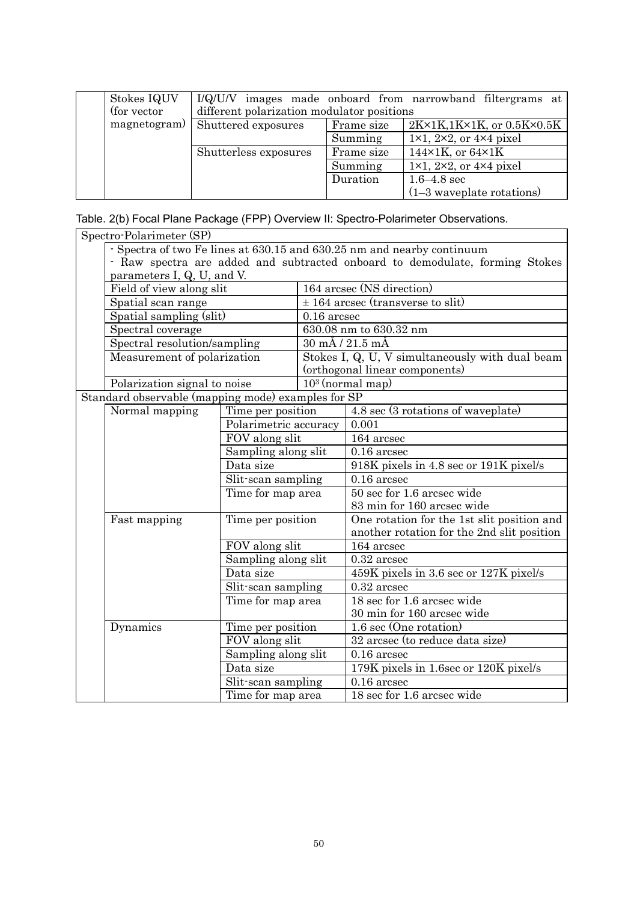| Stokes IQUV<br>(for vector) | different polarization modulator positions |            | I/Q/U/V images made onboard from narrowband filtergrams at |
|-----------------------------|--------------------------------------------|------------|------------------------------------------------------------|
| magnetogram)                | Shuttered exposures                        | Frame size | $2K\times1K, 1K\times1K,$ or $0.5K\times0.5K$              |
|                             |                                            | Summing    | $1\times1$ , $2\times2$ , or $4\times4$ pixel              |
|                             | Shutterless exposures                      | Frame size | 144 $\times$ 1K, or 64 $\times$ 1K                         |
|                             |                                            | Summing    | $1\times1$ , $2\times2$ , or $4\times4$ pixel              |
|                             |                                            | Duration   | $1.6 - 4.8$ sec                                            |
|                             |                                            |            | $(1-3$ waveplate rotations)                                |

Table. 2(b) Focal Plane Package (FPP) Overview II: Spectro-Polarimeter Observations.

| Spectro-Polarimeter (SP)                                                     |                                                                           |               |                                                 |  |  |
|------------------------------------------------------------------------------|---------------------------------------------------------------------------|---------------|-------------------------------------------------|--|--|
| - Spectra of two Fe lines at 630.15 and 630.25 nm and nearby continuum       |                                                                           |               |                                                 |  |  |
| - Raw spectra are added and subtracted onboard to demodulate, forming Stokes |                                                                           |               |                                                 |  |  |
| parameters I, Q, U, and V.                                                   |                                                                           |               |                                                 |  |  |
| Field of view along slit                                                     |                                                                           |               | 164 arcsec (NS direction)                       |  |  |
| Spatial scan range                                                           |                                                                           |               | $\pm$ 164 arcsec (transverse to slit)           |  |  |
| Spatial sampling (slit)                                                      |                                                                           | $0.16$ arcsec |                                                 |  |  |
| Spectral coverage                                                            |                                                                           |               | 630.08 nm to 630.32 nm                          |  |  |
| Spectral resolution/sampling                                                 |                                                                           |               | $30 \text{ mA}$ / $21.5 \text{ mA}$             |  |  |
| Measurement of polarization                                                  |                                                                           |               | Stokes I, Q, U, V simultaneously with dual beam |  |  |
|                                                                              |                                                                           |               | (orthogonal linear components)                  |  |  |
| Polarization signal to noise                                                 |                                                                           |               | $103$ (normal map)                              |  |  |
| Standard observable (mapping mode) examples for SP                           |                                                                           |               |                                                 |  |  |
| Normal mapping                                                               | Time per position                                                         |               | 4.8 sec (3 rotations of waveplate)              |  |  |
|                                                                              | Polarimetric accuracy                                                     |               | 0.001                                           |  |  |
|                                                                              | FOV along slit                                                            |               | 164 arcsec                                      |  |  |
|                                                                              | Sampling along slit                                                       |               | $0.16$ arcsec                                   |  |  |
|                                                                              | Data size<br>Slit-scan sampling                                           |               | 918K pixels in 4.8 sec or 191K pixel/s          |  |  |
|                                                                              |                                                                           |               | $0.16$ arcsec                                   |  |  |
|                                                                              | Time for map area                                                         |               | 50 sec for 1.6 arcsec wide                      |  |  |
|                                                                              |                                                                           |               | 83 min for 160 arcsec wide                      |  |  |
| Fast mapping                                                                 | Time per position                                                         |               | One rotation for the 1st slit position and      |  |  |
|                                                                              |                                                                           |               | another rotation for the 2nd slit position      |  |  |
|                                                                              | FOV along slit                                                            |               | 164 arcsec                                      |  |  |
|                                                                              | Sampling along slit                                                       |               | $0.32$ arcsec                                   |  |  |
|                                                                              | Data size<br>Slit-scan sampling<br>Time for map area<br>Time per position |               | 459K pixels in 3.6 sec or 127K pixel/s          |  |  |
|                                                                              |                                                                           |               | $0.32$ arcsec                                   |  |  |
|                                                                              |                                                                           |               | 18 sec for 1.6 arcsec wide                      |  |  |
|                                                                              |                                                                           |               | 30 min for 160 arcsec wide                      |  |  |
| Dynamics                                                                     |                                                                           |               | 1.6 sec (One rotation)                          |  |  |
|                                                                              | FOV along slit                                                            |               | 32 arcsec (to reduce data size)                 |  |  |
|                                                                              | Sampling along slit                                                       |               | $0.16$ arcsec                                   |  |  |
|                                                                              | Data size                                                                 |               | 179K pixels in 1.6sec or 120K pixel/s           |  |  |
|                                                                              | Slit-scan sampling<br>Time for map area                                   |               | $0.16$ arcsec                                   |  |  |
|                                                                              |                                                                           |               | 18 sec for 1.6 arcsec wide                      |  |  |